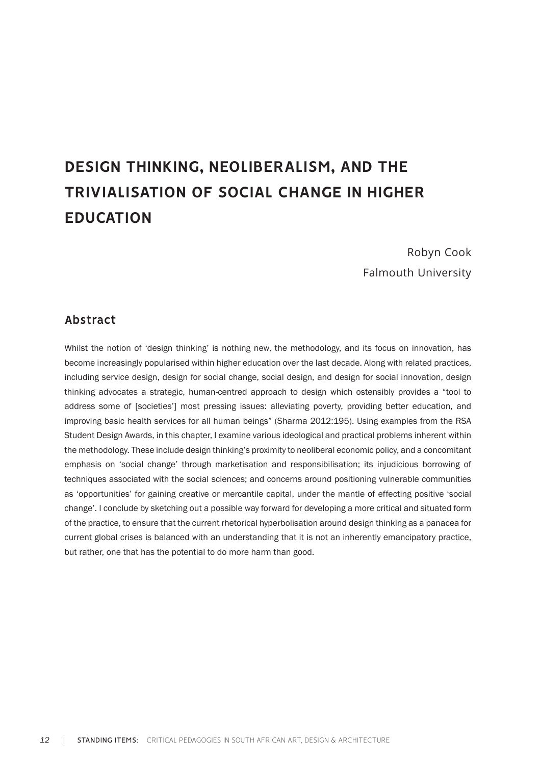# **DESIGN THINKING, NEOLIBERALISM, AND THE TRIVIALISATION OF SOCIAL CHANGE IN HIGHER EDUCATION**

Robyn Cook Falmouth University

## **Abstract**

Whilst the notion of 'design thinking' is nothing new, the methodology, and its focus on innovation, has become increasingly popularised within higher education over the last decade. Along with related practices, including service design, design for social change, social design, and design for social innovation, design thinking advocates a strategic, human-centred approach to design which ostensibly provides a "tool to address some of [societies'] most pressing issues: alleviating poverty, providing better education, and improving basic health services for all human beings" (Sharma 2012:195). Using examples from the RSA Student Design Awards, in this chapter, I examine various ideological and practical problems inherent within the methodology. These include design thinking's proximity to neoliberal economic policy, and a concomitant emphasis on 'social change' through marketisation and responsibilisation; its injudicious borrowing of techniques associated with the social sciences; and concerns around positioning vulnerable communities as 'opportunities' for gaining creative or mercantile capital, under the mantle of effecting positive 'social change'. I conclude by sketching out a possible way forward for developing a more critical and situated form of the practice, to ensure that the current rhetorical hyperbolisation around design thinking as a panacea for current global crises is balanced with an understanding that it is not an inherently emancipatory practice, but rather, one that has the potential to do more harm than good.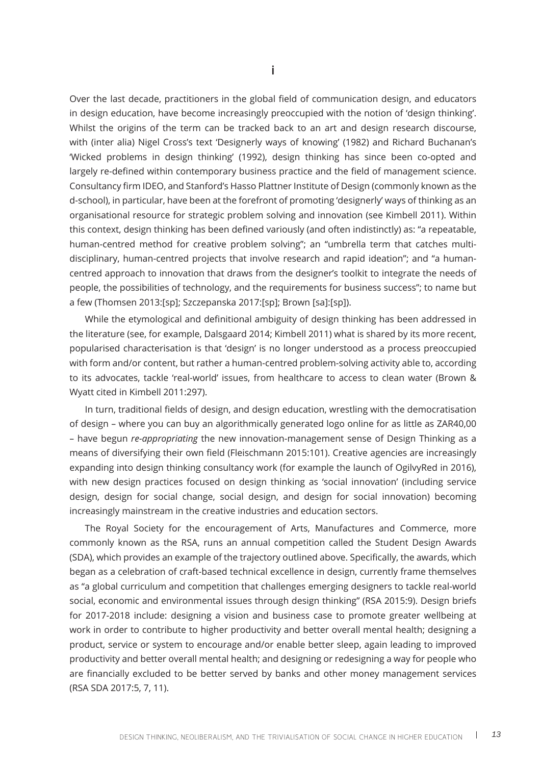Over the last decade, practitioners in the global field of communication design, and educators in design education, have become increasingly preoccupied with the notion of 'design thinking'. Whilst the origins of the term can be tracked back to an art and design research discourse, with (inter alia) Nigel Cross's text 'Designerly ways of knowing' (1982) and Richard Buchanan's 'Wicked problems in design thinking' (1992), design thinking has since been co-opted and largely re-defined within contemporary business practice and the field of management science. Consultancy firm IDEO, and Stanford's Hasso Plattner Institute of Design (commonly known as the d-school), in particular, have been at the forefront of promoting 'designerly' ways of thinking as an organisational resource for strategic problem solving and innovation (see Kimbell 2011). Within this context, design thinking has been defined variously (and often indistinctly) as: "a repeatable, human-centred method for creative problem solving"; an "umbrella term that catches multidisciplinary, human-centred projects that involve research and rapid ideation"; and "a humancentred approach to innovation that draws from the designer's toolkit to integrate the needs of people, the possibilities of technology, and the requirements for business success"; to name but a few (Thomsen 2013:[sp]; Szczepanska 2017:[sp]; Brown [sa]:[sp]).

While the etymological and definitional ambiguity of design thinking has been addressed in the literature (see, for example, Dalsgaard 2014; Kimbell 2011) what is shared by its more recent, popularised characterisation is that 'design' is no longer understood as a process preoccupied with form and/or content, but rather a human-centred problem-solving activity able to, according to its advocates, tackle 'real-world' issues, from healthcare to access to clean water (Brown & Wyatt cited in Kimbell 2011:297).

In turn, traditional fields of design, and design education, wrestling with the democratisation of design – where you can buy an algorithmically generated logo online for as little as ZAR40,00 – have begun *re-appropriating* the new innovation-management sense of Design Thinking as a means of diversifying their own field (Fleischmann 2015:101). Creative agencies are increasingly expanding into design thinking consultancy work (for example the launch of OgilvyRed in 2016), with new design practices focused on design thinking as 'social innovation' (including service design, design for social change, social design, and design for social innovation) becoming increasingly mainstream in the creative industries and education sectors.

The Royal Society for the encouragement of Arts, Manufactures and Commerce, more commonly known as the RSA, runs an annual competition called the Student Design Awards (SDA), which provides an example of the trajectory outlined above. Specifically, the awards, which began as a celebration of craft-based technical excellence in design, currently frame themselves as "a global curriculum and competition that challenges emerging designers to tackle real-world social, economic and environmental issues through design thinking" (RSA 2015:9). Design briefs for 2017-2018 include: designing a vision and business case to promote greater wellbeing at work in order to contribute to higher productivity and better overall mental health; designing a product, service or system to encourage and/or enable better sleep, again leading to improved productivity and better overall mental health; and designing or redesigning a way for people who are financially excluded to be better served by banks and other money management services (RSA SDA 2017:5, 7, 11).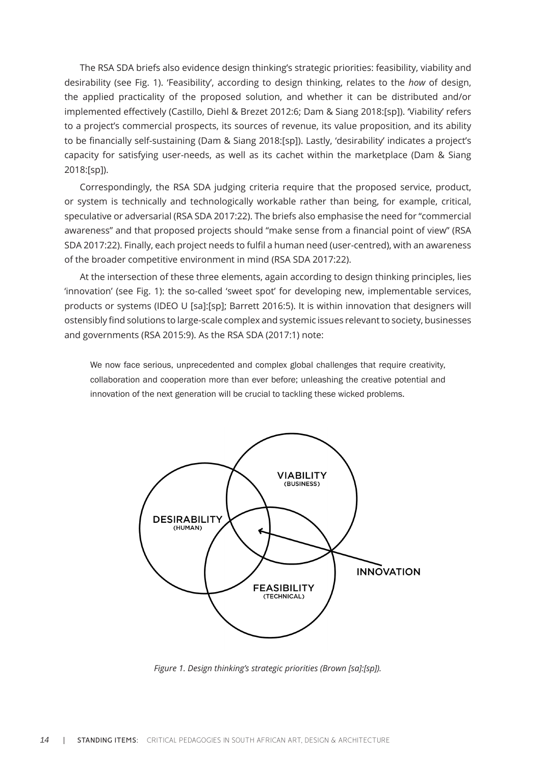The RSA SDA briefs also evidence design thinking's strategic priorities: feasibility, viability and desirability (see Fig. 1). 'Feasibility', according to design thinking, relates to the *how* of design, the applied practicality of the proposed solution, and whether it can be distributed and/or implemented effectively (Castillo, Diehl & Brezet 2012:6; Dam & Siang 2018:[sp]). 'Viability' refers to a project's commercial prospects, its sources of revenue, its value proposition, and its ability to be financially self-sustaining (Dam & Siang 2018:[sp]). Lastly, 'desirability' indicates a project's capacity for satisfying user-needs, as well as its cachet within the marketplace (Dam & Siang 2018:[sp]).

Correspondingly, the RSA SDA judging criteria require that the proposed service, product, or system is technically and technologically workable rather than being, for example, critical, speculative or adversarial (RSA SDA 2017:22). The briefs also emphasise the need for "commercial awareness" and that proposed projects should "make sense from a financial point of view" (RSA SDA 2017:22). Finally, each project needs to fulfil a human need (user-centred), with an awareness of the broader competitive environment in mind (RSA SDA 2017:22).

At the intersection of these three elements, again according to design thinking principles, lies 'innovation' (see Fig. 1): the so-called 'sweet spot' for developing new, implementable services, products or systems (IDEO U [sa]:[sp]; Barrett 2016:5). It is within innovation that designers will ostensibly find solutions to large-scale complex and systemic issues relevant to society, businesses and governments (RSA 2015:9). As the RSA SDA (2017:1) note:

We now face serious, unprecedented and complex global challenges that require creativity, collaboration and cooperation more than ever before; unleashing the creative potential and innovation of the next generation will be crucial to tackling these wicked problems.



*Figure 1. Design thinking's strategic priorities (Brown [sa]:[sp]).*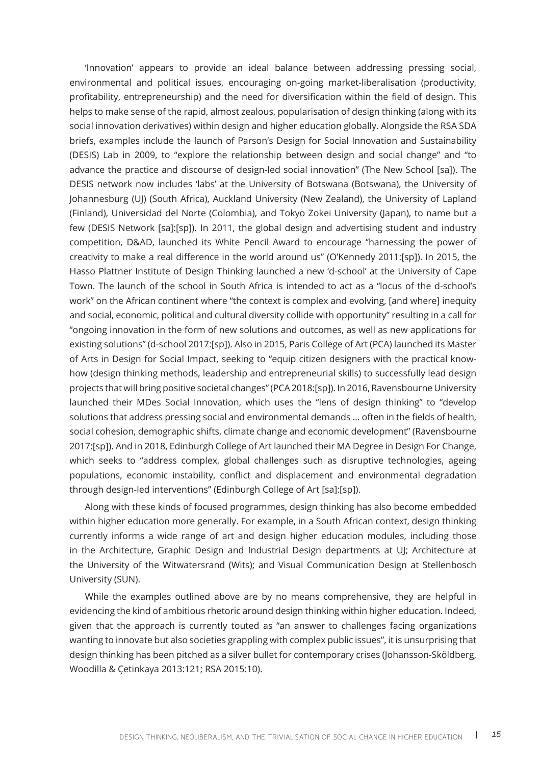'Innovation' appears to provide an ideal balance between addressing pressing social, environmental and political issues, encouraging on-going market-liberalisation (productivity, profitability, entrepreneurship) and the need for diversification within the field of design. This helps to make sense of the rapid, almost zealous, popularisation of design thinking (along with its social innovation derivatives) within design and higher education globally. Alongside the RSA SDA briefs, examples include the launch of Parson's Design for Social Innovation and Sustainability (DESIS) Lab in 2009, to "explore the relationship between design and social change" and "to advance the practice and discourse of design-led social innovation" (The New School [sa]). The DESIS network now includes 'labs' at the University of Botswana (Botswana), the University of Johannesburg (UJ) (South Africa), Auckland University (New Zealand), the University of Lapland (Finland), Universidad del Norte (Colombia), and Tokyo Zokei University (Japan), to name but a few (DESIS Network [sa]:[sp]). In 2011, the global design and advertising student and industry competition, D&AD, launched its White Pencil Award to encourage "harnessing the power of creativity to make a real difference in the world around us" (O'Kennedy 2011:[sp]). In 2015, the Hasso Plattner Institute of Design Thinking launched a new 'd-school' at the University of Cape Town. The launch of the school in South Africa is intended to act as a "locus of the d-school's work" on the African continent where "the context is complex and evolving, [and where] inequity and social, economic, political and cultural diversity collide with opportunity" resulting in a call for "ongoing innovation in the form of new solutions and outcomes, as well as new applications for existing solutions" (d-school 2017:[sp]). Also in 2015, Paris College of Art (PCA) launched its Master of Arts in Design for Social Impact, seeking to "equip citizen designers with the practical knowhow (design thinking methods, leadership and entrepreneurial skills) to successfully lead design projects that will bring positive societal changes" (PCA 2018:[sp]). In 2016, Ravensbourne University launched their MDes Social Innovation, which uses the "lens of design thinking" to "develop solutions that address pressing social and environmental demands … often in the fields of health, social cohesion, demographic shifts, climate change and economic development" (Ravensbourne 2017:[sp]). And in 2018, Edinburgh College of Art launched their MA Degree in Design For Change, which seeks to "address complex, global challenges such as disruptive technologies, ageing populations, economic instability, conflict and displacement and environmental degradation through design-led interventions" (Edinburgh College of Art [sa]:[sp]).

Along with these kinds of focused programmes, design thinking has also become embedded within higher education more generally. For example, in a South African context, design thinking currently informs a wide range of art and design higher education modules, including those in the Architecture, Graphic Design and Industrial Design departments at UJ; Architecture at the University of the Witwatersrand (Wits); and Visual Communication Design at Stellenbosch University (SUN).

While the examples outlined above are by no means comprehensive, they are helpful in evidencing the kind of ambitious rhetoric around design thinking within higher education. Indeed, given that the approach is currently touted as "an answer to challenges facing organizations wanting to innovate but also societies grappling with complex public issues", it is unsurprising that design thinking has been pitched as a silver bullet for contemporary crises (Johansson-Sköldberg, Woodilla & Çetinkaya 2013:121; RSA 2015:10).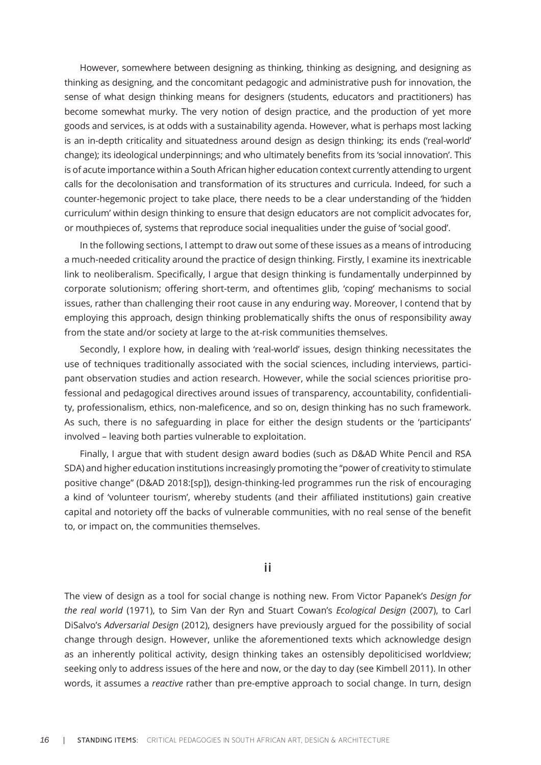However, somewhere between designing as thinking, thinking as designing, and designing as thinking as designing, and the concomitant pedagogic and administrative push for innovation, the sense of what design thinking means for designers (students, educators and practitioners) has become somewhat murky. The very notion of design practice, and the production of yet more goods and services, is at odds with a sustainability agenda. However, what is perhaps most lacking is an in-depth criticality and situatedness around design as design thinking; its ends ('real-world' change); its ideological underpinnings; and who ultimately benefits from its 'social innovation'. This is of acute importance within a South African higher education context currently attending to urgent calls for the decolonisation and transformation of its structures and curricula. Indeed, for such a counter-hegemonic project to take place, there needs to be a clear understanding of the 'hidden curriculum' within design thinking to ensure that design educators are not complicit advocates for, or mouthpieces of, systems that reproduce social inequalities under the guise of 'social good'.

In the following sections, I attempt to draw out some of these issues as a means of introducing a much-needed criticality around the practice of design thinking. Firstly, I examine its inextricable link to neoliberalism. Specifically, I argue that design thinking is fundamentally underpinned by corporate solutionism; offering short-term, and oftentimes glib, 'coping' mechanisms to social issues, rather than challenging their root cause in any enduring way. Moreover, I contend that by employing this approach, design thinking problematically shifts the onus of responsibility away from the state and/or society at large to the at-risk communities themselves.

Secondly, I explore how, in dealing with 'real-world' issues, design thinking necessitates the use of techniques traditionally associated with the social sciences, including interviews, participant observation studies and action research. However, while the social sciences prioritise professional and pedagogical directives around issues of transparency, accountability, confidentiality, professionalism, ethics, non-maleficence, and so on, design thinking has no such framework. As such, there is no safeguarding in place for either the design students or the 'participants' involved – leaving both parties vulnerable to exploitation.

Finally, I argue that with student design award bodies (such as D&AD White Pencil and RSA SDA) and higher education institutions increasingly promoting the "power of creativity to stimulate positive change" (D&AD 2018:[sp]), design-thinking-led programmes run the risk of encouraging a kind of 'volunteer tourism', whereby students (and their affiliated institutions) gain creative capital and notoriety off the backs of vulnerable communities, with no real sense of the benefit to, or impact on, the communities themselves.

### **ii**

The view of design as a tool for social change is nothing new. From Victor Papanek's *Design for the real world* (1971), to Sim Van der Ryn and Stuart Cowan's *Ecological Design* (2007), to Carl DiSalvo's *Adversarial Design* (2012), designers have previously argued for the possibility of social change through design. However, unlike the aforementioned texts which acknowledge design as an inherently political activity, design thinking takes an ostensibly depoliticised worldview; seeking only to address issues of the here and now, or the day to day (see Kimbell 2011). In other words, it assumes a *reactive* rather than pre-emptive approach to social change. In turn, design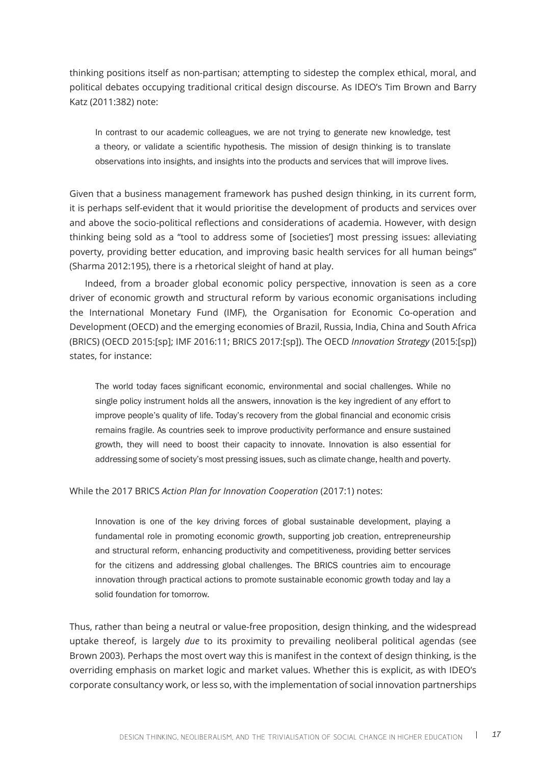thinking positions itself as non-partisan; attempting to sidestep the complex ethical, moral, and political debates occupying traditional critical design discourse. As IDEO's Tim Brown and Barry Katz (2011:382) note:

In contrast to our academic colleagues, we are not trying to generate new knowledge, test a theory, or validate a scientific hypothesis. The mission of design thinking is to translate observations into insights, and insights into the products and services that will improve lives.

Given that a business management framework has pushed design thinking, in its current form, it is perhaps self-evident that it would prioritise the development of products and services over and above the socio-political reflections and considerations of academia. However, with design thinking being sold as a "tool to address some of [societies'] most pressing issues: alleviating poverty, providing better education, and improving basic health services for all human beings" (Sharma 2012:195), there is a rhetorical sleight of hand at play.

Indeed, from a broader global economic policy perspective, innovation is seen as a core driver of economic growth and structural reform by various economic organisations including the International Monetary Fund (IMF), the Organisation for Economic Co-operation and Development (OECD) and the emerging economies of Brazil, Russia, India, China and South Africa (BRICS) (OECD 2015:[sp]; IMF 2016:11; BRICS 2017:[sp]). The OECD *Innovation Strategy* (2015:[sp]) states, for instance:

The world today faces significant economic, environmental and social challenges. While no single policy instrument holds all the answers, innovation is the key ingredient of any effort to improve people's quality of life. Today's recovery from the global financial and economic crisis remains fragile. As countries seek to improve productivity performance and ensure sustained growth, they will need to boost their capacity to innovate. Innovation is also essential for addressing some of society's most pressing issues, such as climate change, health and poverty.

While the 2017 BRICS *Action Plan for Innovation Cooperation* (2017:1) notes:

Innovation is one of the key driving forces of global sustainable development, playing a fundamental role in promoting economic growth, supporting job creation, entrepreneurship and structural reform, enhancing productivity and competitiveness, providing better services for the citizens and addressing global challenges. The BRICS countries aim to encourage innovation through practical actions to promote sustainable economic growth today and lay a solid foundation for tomorrow.

Thus, rather than being a neutral or value-free proposition, design thinking, and the widespread uptake thereof, is largely *due* to its proximity to prevailing neoliberal political agendas (see Brown 2003). Perhaps the most overt way this is manifest in the context of design thinking, is the overriding emphasis on market logic and market values. Whether this is explicit, as with IDEO's corporate consultancy work, or less so, with the implementation of social innovation partnerships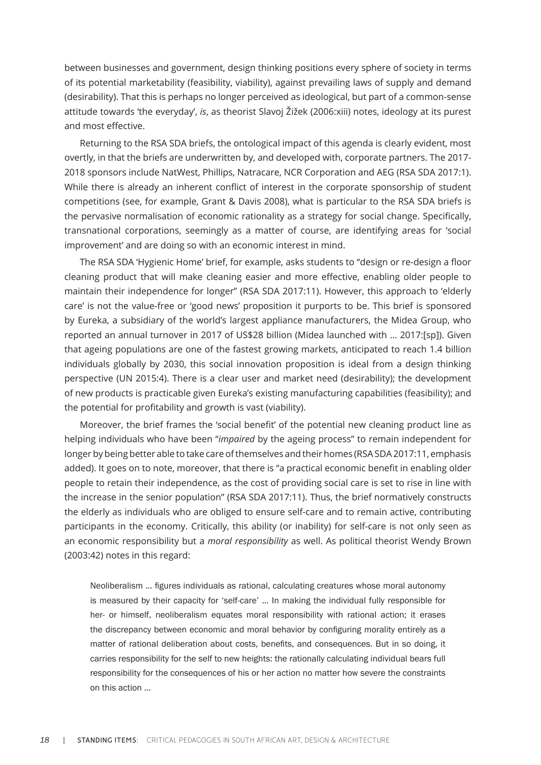between businesses and government, design thinking positions every sphere of society in terms of its potential marketability (feasibility, viability), against prevailing laws of supply and demand (desirability). That this is perhaps no longer perceived as ideological, but part of a common-sense attitude towards 'the everyday', *is*, as theorist Slavoj Žižek (2006:xiii) notes, ideology at its purest and most effective.

Returning to the RSA SDA briefs, the ontological impact of this agenda is clearly evident, most overtly, in that the briefs are underwritten by, and developed with, corporate partners. The 2017- 2018 sponsors include NatWest, Phillips, Natracare, NCR Corporation and AEG (RSA SDA 2017:1). While there is already an inherent conflict of interest in the corporate sponsorship of student competitions (see, for example, Grant & Davis 2008), what is particular to the RSA SDA briefs is the pervasive normalisation of economic rationality as a strategy for social change. Specifically, transnational corporations, seemingly as a matter of course, are identifying areas for 'social improvement' and are doing so with an economic interest in mind.

The RSA SDA 'Hygienic Home' brief, for example, asks students to "design or re-design a floor cleaning product that will make cleaning easier and more effective, enabling older people to maintain their independence for longer" (RSA SDA 2017:11). However, this approach to 'elderly care' is not the value-free or 'good news' proposition it purports to be. This brief is sponsored by Eureka, a subsidiary of the world's largest appliance manufacturers, the Midea Group, who reported an annual turnover in 2017 of US\$28 billion (Midea launched with … 2017:[sp]). Given that ageing populations are one of the fastest growing markets, anticipated to reach 1.4 billion individuals globally by 2030, this social innovation proposition is ideal from a design thinking perspective (UN 2015:4). There is a clear user and market need (desirability); the development of new products is practicable given Eureka's existing manufacturing capabilities (feasibility); and the potential for profitability and growth is vast (viability).

Moreover, the brief frames the 'social benefit' of the potential new cleaning product line as helping individuals who have been "*impaired* by the ageing process" to remain independent for longer by being better able to take care of themselves and their homes (RSA SDA 2017:11, emphasis added). It goes on to note, moreover, that there is "a practical economic benefit in enabling older people to retain their independence, as the cost of providing social care is set to rise in line with the increase in the senior population" (RSA SDA 2017:11). Thus, the brief normatively constructs the elderly as individuals who are obliged to ensure self-care and to remain active, contributing participants in the economy. Critically, this ability (or inability) for self-care is not only seen as an economic responsibility but a *moral responsibility* as well. As political theorist Wendy Brown (2003:42) notes in this regard:

Neoliberalism … figures individuals as rational, calculating creatures whose moral autonomy is measured by their capacity for 'self-care' … In making the individual fully responsible for her- or himself, neoliberalism equates moral responsibility with rational action; it erases the discrepancy between economic and moral behavior by configuring morality entirely as a matter of rational deliberation about costs, benefits, and consequences. But in so doing, it carries responsibility for the self to new heights: the rationally calculating individual bears full responsibility for the consequences of his or her action no matter how severe the constraints on this action …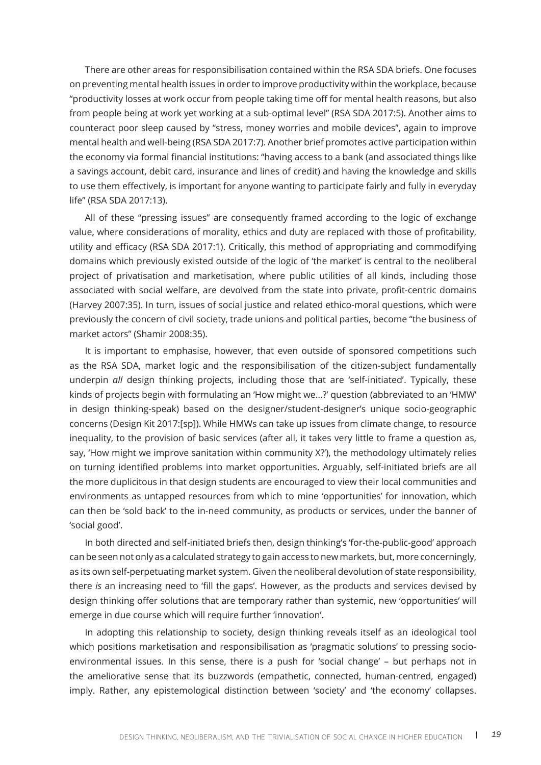There are other areas for responsibilisation contained within the RSA SDA briefs. One focuses on preventing mental health issues in order to improve productivity within the workplace, because "productivity losses at work occur from people taking time off for mental health reasons, but also from people being at work yet working at a sub-optimal level" (RSA SDA 2017:5). Another aims to counteract poor sleep caused by "stress, money worries and mobile devices", again to improve mental health and well-being (RSA SDA 2017:7). Another brief promotes active participation within the economy via formal financial institutions: "having access to a bank (and associated things like a savings account, debit card, insurance and lines of credit) and having the knowledge and skills to use them effectively, is important for anyone wanting to participate fairly and fully in everyday life" (RSA SDA 2017:13).

All of these "pressing issues" are consequently framed according to the logic of exchange value, where considerations of morality, ethics and duty are replaced with those of profitability, utility and efficacy (RSA SDA 2017:1). Critically, this method of appropriating and commodifying domains which previously existed outside of the logic of 'the market' is central to the neoliberal project of privatisation and marketisation, where public utilities of all kinds, including those associated with social welfare, are devolved from the state into private, profit-centric domains (Harvey 2007:35). In turn, issues of social justice and related ethico-moral questions, which were previously the concern of civil society, trade unions and political parties, become "the business of market actors" (Shamir 2008:35).

It is important to emphasise, however, that even outside of sponsored competitions such as the RSA SDA, market logic and the responsibilisation of the citizen-subject fundamentally underpin *all* design thinking projects, including those that are 'self-initiated'. Typically, these kinds of projects begin with formulating an 'How might we…?' question (abbreviated to an 'HMW' in design thinking-speak) based on the designer/student-designer's unique socio-geographic concerns (Design Kit 2017:[sp]). While HMWs can take up issues from climate change, to resource inequality, to the provision of basic services (after all, it takes very little to frame a question as, say, 'How might we improve sanitation within community X?'), the methodology ultimately relies on turning identified problems into market opportunities. Arguably, self-initiated briefs are all the more duplicitous in that design students are encouraged to view their local communities and environments as untapped resources from which to mine 'opportunities' for innovation, which can then be 'sold back' to the in-need community, as products or services, under the banner of 'social good'.

In both directed and self-initiated briefs then, design thinking's 'for-the-public-good' approach can be seen not only as a calculated strategy to gain access to new markets, but, more concerningly, as its own self-perpetuating market system. Given the neoliberal devolution of state responsibility, there *is* an increasing need to 'fill the gaps'. However, as the products and services devised by design thinking offer solutions that are temporary rather than systemic, new 'opportunities' will emerge in due course which will require further 'innovation'.

In adopting this relationship to society, design thinking reveals itself as an ideological tool which positions marketisation and responsibilisation as 'pragmatic solutions' to pressing socioenvironmental issues. In this sense, there is a push for 'social change' – but perhaps not in the ameliorative sense that its buzzwords (empathetic, connected, human-centred, engaged) imply. Rather, any epistemological distinction between 'society' and 'the economy' collapses.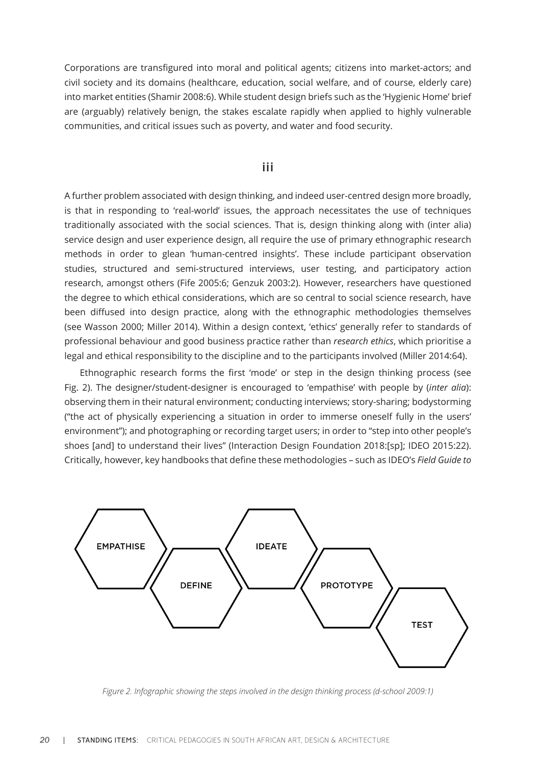Corporations are transfigured into moral and political agents; citizens into market-actors; and civil society and its domains (healthcare, education, social welfare, and of course, elderly care) into market entities (Shamir 2008:6). While student design briefs such as the 'Hygienic Home' brief are (arguably) relatively benign, the stakes escalate rapidly when applied to highly vulnerable communities, and critical issues such as poverty, and water and food security.

#### **iii**

A further problem associated with design thinking, and indeed user-centred design more broadly, is that in responding to 'real-world' issues, the approach necessitates the use of techniques traditionally associated with the social sciences. That is, design thinking along with (inter alia) service design and user experience design, all require the use of primary ethnographic research methods in order to glean 'human-centred insights'. These include participant observation studies, structured and semi-structured interviews, user testing, and participatory action research, amongst others (Fife 2005:6; Genzuk 2003:2). However, researchers have questioned the degree to which ethical considerations, which are so central to social science research, have been diffused into design practice, along with the ethnographic methodologies themselves (see Wasson 2000; Miller 2014). Within a design context, 'ethics' generally refer to standards of professional behaviour and good business practice rather than *research ethics*, which prioritise a legal and ethical responsibility to the discipline and to the participants involved (Miller 2014:64).

Ethnographic research forms the first 'mode' or step in the design thinking process (see Fig. 2). The designer/student-designer is encouraged to 'empathise' with people by (*inter alia*): observing them in their natural environment; conducting interviews; story-sharing; bodystorming ("the act of physically experiencing a situation in order to immerse oneself fully in the users' environment"); and photographing or recording target users; in order to "step into other people's shoes [and] to understand their lives" (Interaction Design Foundation 2018:[sp]; IDEO 2015:22). Critically, however, key handbooks that define these methodologies – such as IDEO's *Field Guide to* 



*Figure 2. Infographic showing the steps involved in the design thinking process (d-school 2009:1)*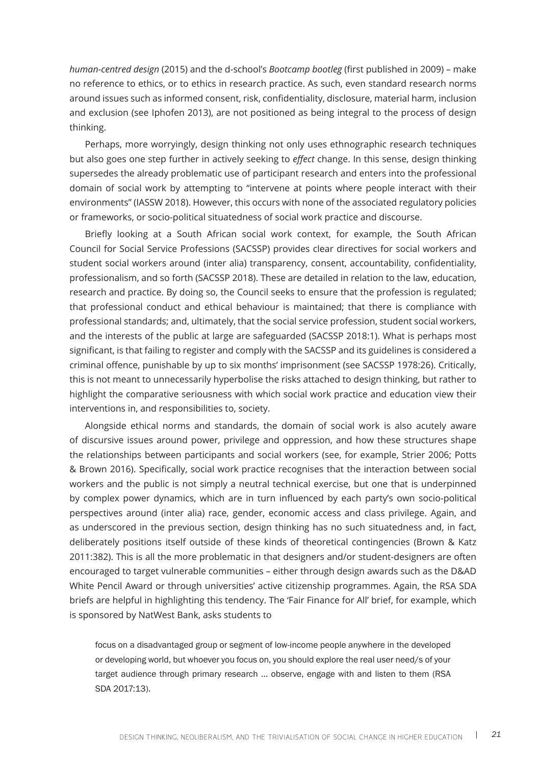*human-centred design* (2015) and the d-school's *Bootcamp bootleg* (first published in 2009) – make no reference to ethics, or to ethics in research practice. As such, even standard research norms around issues such as informed consent, risk, confidentiality, disclosure, material harm, inclusion and exclusion (see Iphofen 2013), are not positioned as being integral to the process of design thinking.

Perhaps, more worryingly, design thinking not only uses ethnographic research techniques but also goes one step further in actively seeking to *effect* change. In this sense, design thinking supersedes the already problematic use of participant research and enters into the professional domain of social work by attempting to "intervene at points where people interact with their environments" (IASSW 2018). However, this occurs with none of the associated regulatory policies or frameworks, or socio-political situatedness of social work practice and discourse.

Briefly looking at a South African social work context, for example, the South African Council for Social Service Professions (SACSSP) provides clear directives for social workers and student social workers around (inter alia) transparency, consent, accountability, confidentiality, professionalism, and so forth (SACSSP 2018). These are detailed in relation to the law, education, research and practice. By doing so, the Council seeks to ensure that the profession is regulated; that professional conduct and ethical behaviour is maintained; that there is compliance with professional standards; and, ultimately, that the social service profession, student social workers, and the interests of the public at large are safeguarded (SACSSP 2018:1). What is perhaps most significant, is that failing to register and comply with the SACSSP and its guidelines is considered a criminal offence, punishable by up to six months' imprisonment (see SACSSP 1978:26). Critically, this is not meant to unnecessarily hyperbolise the risks attached to design thinking, but rather to highlight the comparative seriousness with which social work practice and education view their interventions in, and responsibilities to, society.

Alongside ethical norms and standards, the domain of social work is also acutely aware of discursive issues around power, privilege and oppression, and how these structures shape the relationships between participants and social workers (see, for example, Strier 2006; Potts & Brown 2016). Specifically, social work practice recognises that the interaction between social workers and the public is not simply a neutral technical exercise, but one that is underpinned by complex power dynamics, which are in turn influenced by each party's own socio-political perspectives around (inter alia) race, gender, economic access and class privilege. Again, and as underscored in the previous section, design thinking has no such situatedness and, in fact, deliberately positions itself outside of these kinds of theoretical contingencies (Brown & Katz 2011:382). This is all the more problematic in that designers and/or student-designers are often encouraged to target vulnerable communities – either through design awards such as the D&AD White Pencil Award or through universities' active citizenship programmes. Again, the RSA SDA briefs are helpful in highlighting this tendency. The 'Fair Finance for All' brief, for example, which is sponsored by NatWest Bank, asks students to

focus on a disadvantaged group or segment of low-income people anywhere in the developed or developing world, but whoever you focus on, you should explore the real user need/s of your target audience through primary research ... observe, engage with and listen to them (RSA SDA 2017:13).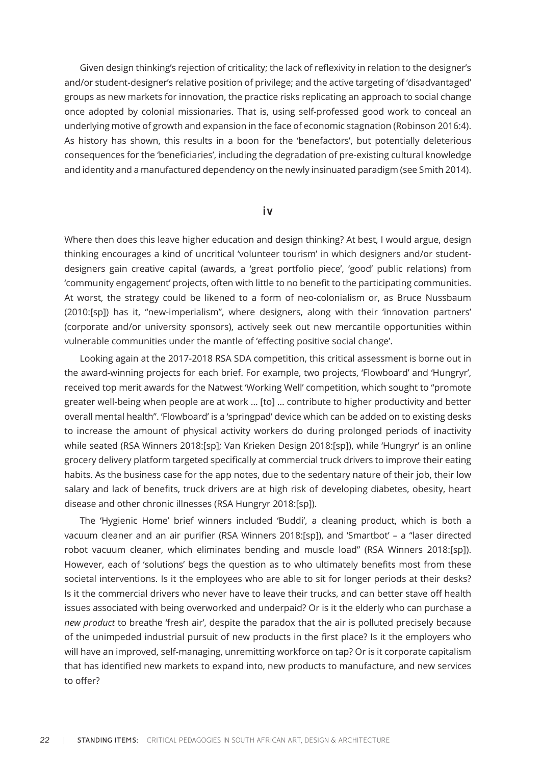Given design thinking's rejection of criticality; the lack of reflexivity in relation to the designer's and/or student-designer's relative position of privilege; and the active targeting of 'disadvantaged' groups as new markets for innovation, the practice risks replicating an approach to social change once adopted by colonial missionaries. That is, using self-professed good work to conceal an underlying motive of growth and expansion in the face of economic stagnation (Robinson 2016:4). As history has shown, this results in a boon for the 'benefactors', but potentially deleterious consequences for the 'beneficiaries', including the degradation of pre-existing cultural knowledge and identity and a manufactured dependency on the newly insinuated paradigm (see Smith 2014).

#### **iv**

Where then does this leave higher education and design thinking? At best, I would argue, design thinking encourages a kind of uncritical 'volunteer tourism' in which designers and/or studentdesigners gain creative capital (awards, a 'great portfolio piece', 'good' public relations) from 'community engagement' projects, often with little to no benefit to the participating communities. At worst, the strategy could be likened to a form of neo-colonialism or, as Bruce Nussbaum (2010:[sp]) has it, "new-imperialism", where designers, along with their 'innovation partners' (corporate and/or university sponsors), actively seek out new mercantile opportunities within vulnerable communities under the mantle of 'effecting positive social change'.

Looking again at the 2017-2018 RSA SDA competition, this critical assessment is borne out in the award-winning projects for each brief. For example, two projects, 'Flowboard' and 'Hungryr', received top merit awards for the Natwest 'Working Well' competition, which sought to "promote greater well-being when people are at work … [to] … contribute to higher productivity and better overall mental health". 'Flowboard' is a 'springpad' device which can be added on to existing desks to increase the amount of physical activity workers do during prolonged periods of inactivity while seated (RSA Winners 2018:[sp]; Van Krieken Design 2018:[sp]), while 'Hungryr' is an online grocery delivery platform targeted specifically at commercial truck drivers to improve their eating habits. As the business case for the app notes, due to the sedentary nature of their job, their low salary and lack of benefits, truck drivers are at high risk of developing diabetes, obesity, heart disease and other chronic illnesses (RSA Hungryr 2018:[sp]).

The 'Hygienic Home' brief winners included 'Buddi', a cleaning product, which is both a vacuum cleaner and an air purifier (RSA Winners 2018:[sp]), and 'Smartbot' – a "laser directed robot vacuum cleaner, which eliminates bending and muscle load" (RSA Winners 2018:[sp]). However, each of 'solutions' begs the question as to who ultimately benefits most from these societal interventions. Is it the employees who are able to sit for longer periods at their desks? Is it the commercial drivers who never have to leave their trucks, and can better stave off health issues associated with being overworked and underpaid? Or is it the elderly who can purchase a *new product* to breathe 'fresh air', despite the paradox that the air is polluted precisely because of the unimpeded industrial pursuit of new products in the first place? Is it the employers who will have an improved, self-managing, unremitting workforce on tap? Or is it corporate capitalism that has identified new markets to expand into, new products to manufacture, and new services to offer?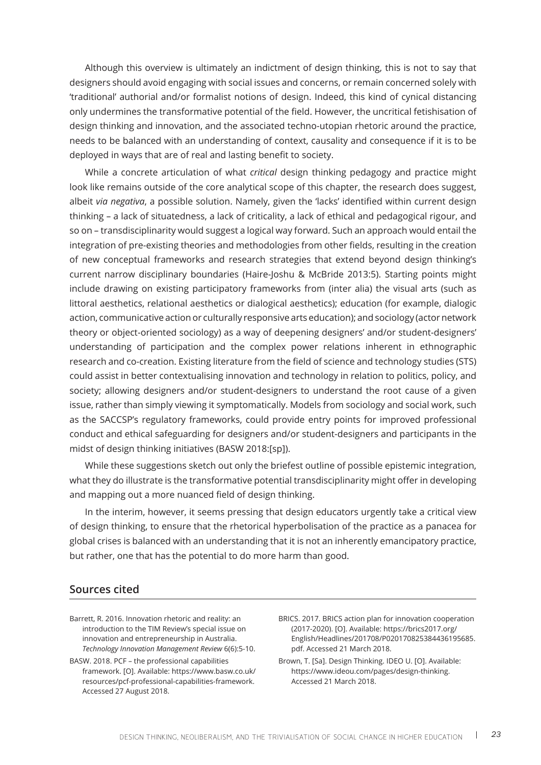Although this overview is ultimately an indictment of design thinking, this is not to say that designers should avoid engaging with social issues and concerns, or remain concerned solely with 'traditional' authorial and/or formalist notions of design. Indeed, this kind of cynical distancing only undermines the transformative potential of the field. However, the uncritical fetishisation of design thinking and innovation, and the associated techno-utopian rhetoric around the practice, needs to be balanced with an understanding of context, causality and consequence if it is to be deployed in ways that are of real and lasting benefit to society.

While a concrete articulation of what *critical* design thinking pedagogy and practice might look like remains outside of the core analytical scope of this chapter, the research does suggest, albeit *via negativa*, a possible solution. Namely, given the 'lacks' identified within current design thinking – a lack of situatedness, a lack of criticality, a lack of ethical and pedagogical rigour, and so on – transdisciplinarity would suggest a logical way forward. Such an approach would entail the integration of pre-existing theories and methodologies from other fields, resulting in the creation of new conceptual frameworks and research strategies that extend beyond design thinking's current narrow disciplinary boundaries (Haire-Joshu & McBride 2013:5). Starting points might include drawing on existing participatory frameworks from (inter alia) the visual arts (such as littoral aesthetics, relational aesthetics or dialogical aesthetics); education (for example, dialogic action, communicative action or culturally responsive arts education); and sociology (actor network theory or object-oriented sociology) as a way of deepening designers' and/or student-designers' understanding of participation and the complex power relations inherent in ethnographic research and co-creation. Existing literature from the field of science and technology studies (STS) could assist in better contextualising innovation and technology in relation to politics, policy, and society; allowing designers and/or student-designers to understand the root cause of a given issue, rather than simply viewing it symptomatically. Models from sociology and social work, such as the SACCSP's regulatory frameworks, could provide entry points for improved professional conduct and ethical safeguarding for designers and/or student-designers and participants in the midst of design thinking initiatives (BASW 2018:[sp]).

While these suggestions sketch out only the briefest outline of possible epistemic integration, what they do illustrate is the transformative potential transdisciplinarity might offer in developing and mapping out a more nuanced field of design thinking.

In the interim, however, it seems pressing that design educators urgently take a critical view of design thinking, to ensure that the rhetorical hyperbolisation of the practice as a panacea for global crises is balanced with an understanding that it is not an inherently emancipatory practice, but rather, one that has the potential to do more harm than good.

### **Sources cited**

- Barrett, R. 2016. Innovation rhetoric and reality: an introduction to the TIM Review's special issue on innovation and entrepreneurship in Australia. *Technology Innovation Management Review* 6(6):5-10.
- BASW. 2018. PCF the professional capabilities framework. [O]. Available: https://www.basw.co.uk/ resources/pcf-professional-capabilities-framework. Accessed 27 August 2018.
- BRICS. 2017. BRICS action plan for innovation cooperation (2017-2020). [O]. Available: https://brics2017.org/ English/Headlines/201708/P020170825384436195685. pdf. Accessed 21 March 2018.
- Brown, T. [Sa]. Design Thinking. IDEO U. [O]. Available: https://www.ideou.com/pages/design-thinking. Accessed 21 March 2018.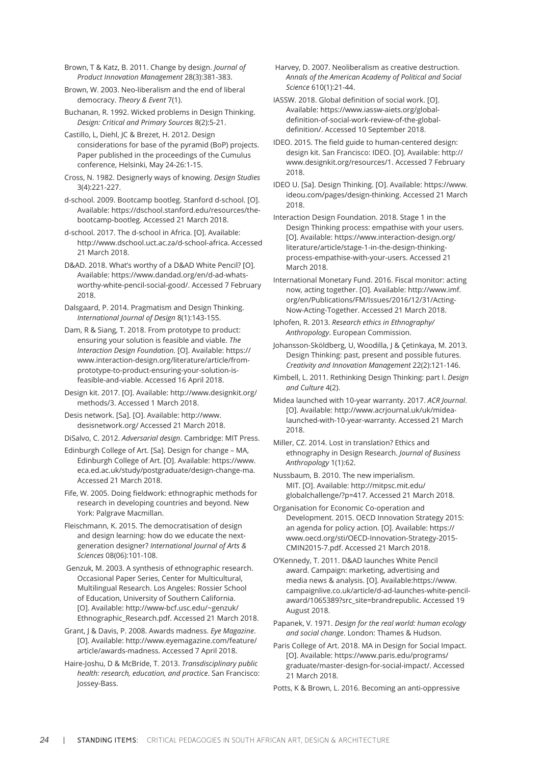Brown, T & Katz, B. 2011. Change by design. *Journal of Product Innovation Management* 28(3):381-383.

Brown, W. 2003. Neo-liberalism and the end of liberal democracy. *Theory & Event* 7(1).

Buchanan, R. 1992. Wicked problems in Design Thinking. *Design: Critical and Primary Sources* 8(2):5-21.

Castillo, L, Diehl, JC & Brezet, H. 2012. Design considerations for base of the pyramid (BoP) projects. Paper published in the proceedings of the Cumulus conference, Helsinki, May 24-26:1-15.

Cross, N. 1982. Designerly ways of knowing. *Design Studies* 3(4):221-227.

d-school. 2009. Bootcamp bootleg. Stanford d-school. [O]. Available: https://dschool.stanford.edu/resources/thebootcamp-bootleg. Accessed 21 March 2018.

d-school. 2017. The d-school in Africa. [O]. Available: http://www.dschool.uct.ac.za/d-school-africa. Accessed 21 March 2018.

D&AD. 2018. What's worthy of a D&AD White Pencil? [O]. Available: https://www.dandad.org/en/d-ad-whatsworthy-white-pencil-social-good/. Accessed 7 February 2018.

Dalsgaard, P. 2014. Pragmatism and Design Thinking. *International Journal of Design* 8(1):143-155.

Dam, R & Siang, T. 2018. From prototype to product: ensuring your solution is feasible and viable. *The Interaction Design Foundation.* [O]. Available: https:// www.interaction-design.org/literature/article/fromprototype-to-product-ensuring-your-solution-isfeasible-and-viable. Accessed 16 April 2018.

Design kit. 2017. [O]. Available: http://www.designkit.org/ methods/3. Accessed 1 March 2018.

Desis network. [Sa]. [O]. Available: http://www. desisnetwork.org/ Accessed 21 March 2018.

DiSalvo, C. 2012. *Adversarial design*. Cambridge: MIT Press.

Edinburgh College of Art. [Sa]. Design for change – MA, Edinburgh College of Art. [O]. Available: https://www. eca.ed.ac.uk/study/postgraduate/design-change-ma. Accessed 21 March 2018.

Fife, W. 2005. Doing fieldwork: ethnographic methods for research in developing countries and beyond. New York: Palgrave Macmillan.

Fleischmann, K. 2015. The democratisation of design and design learning: how do we educate the nextgeneration designer? *International Journal of Arts & Sciences* 08(06):101-108.

 Genzuk, M. 2003. A synthesis of ethnographic research. Occasional Paper Series, Center for Multicultural, Multilingual Research. Los Angeles: Rossier School of Education, University of Southern California. [O]. Available: http://www-bcf.usc.edu/~genzuk/ Ethnographic\_Research.pdf. Accessed 21 March 2018.

Grant, J & Davis, P. 2008. Awards madness. *Eye Magazine*. [O]. Available: http://www.eyemagazine.com/feature/ article/awards-madness. Accessed 7 April 2018.

Haire-Joshu, D & McBride, T. 2013. *Transdisciplinary public health: research, education, and practice*. San Francisco: Jossey-Bass.

 Harvey, D. 2007. Neoliberalism as creative destruction. *Annals of the American Academy of Political and Social Science* 610(1):21-44.

IASSW. 2018. Global definition of social work. [O]. Available: https://www.iassw-aiets.org/globaldefinition-of-social-work-review-of-the-globaldefinition/. Accessed 10 September 2018.

IDEO. 2015. The field guide to human-centered design: design kit. San Francisco: IDEO. [O]. Available: http:// www.designkit.org/resources/1. Accessed 7 February 2018.

IDEO U. [Sa]. Design Thinking. [O]. Available: https://www. ideou.com/pages/design-thinking. Accessed 21 March 2018.

Interaction Design Foundation. 2018. Stage 1 in the Design Thinking process: empathise with your users. [O]. Available: https://www.interaction-design.org/ literature/article/stage-1-in-the-design-thinkingprocess-empathise-with-your-users. Accessed 21 March 2018.

International Monetary Fund. 2016. Fiscal monitor: acting now, acting together. [O]. Available: http://www.imf. org/en/Publications/FM/Issues/2016/12/31/Acting-Now-Acting-Together. Accessed 21 March 2018.

Iphofen, R. 2013. *Research ethics in Ethnography/ Anthropology*. European Commission.

Johansson-Sköldberg, U, Woodilla, J & Çetinkaya, M. 2013. Design Thinking: past, present and possible futures. *Creativity and Innovation Management* 22(2):121-146.

Kimbell, L. 2011. Rethinking Design Thinking: part I. *Design and Culture* 4(2).

Midea launched with 10-year warranty. 2017. *ACR Journal*. [O]. Available: http://www.acrjournal.uk/uk/midealaunched-with-10-year-warranty. Accessed 21 March 2018.

Miller, CZ. 2014. Lost in translation? Ethics and ethnography in Design Research. *Journal of Business Anthropology* 1(1):62.

Nussbaum, B. 2010. The new imperialism. MIT. [O]. Available: http://mitpsc.mit.edu/ globalchallenge/?p=417. Accessed 21 March 2018.

Organisation for Economic Co-operation and Development. 2015. OECD Innovation Strategy 2015: an agenda for policy action. [O]. Available: https:// www.oecd.org/sti/OECD-Innovation-Strategy-2015- CMIN2015-7.pdf. Accessed 21 March 2018.

O'Kennedy, T. 2011. D&AD launches White Pencil award. Campaign: marketing, advertising and media news & analysis. [O]. Available:https://www. campaignlive.co.uk/article/d-ad-launches-white-pencilaward/1065389?src\_site=brandrepublic. Accessed 19 August 2018.

Papanek, V. 1971. *Design for the real world: human ecology and social change*. London: Thames & Hudson.

Paris College of Art. 2018. MA in Design for Social Impact. [O]. Available: https://www.paris.edu/programs/ graduate/master-design-for-social-impact/. Accessed 21 March 2018.

Potts, K & Brown, L. 2016. Becoming an anti-oppressive